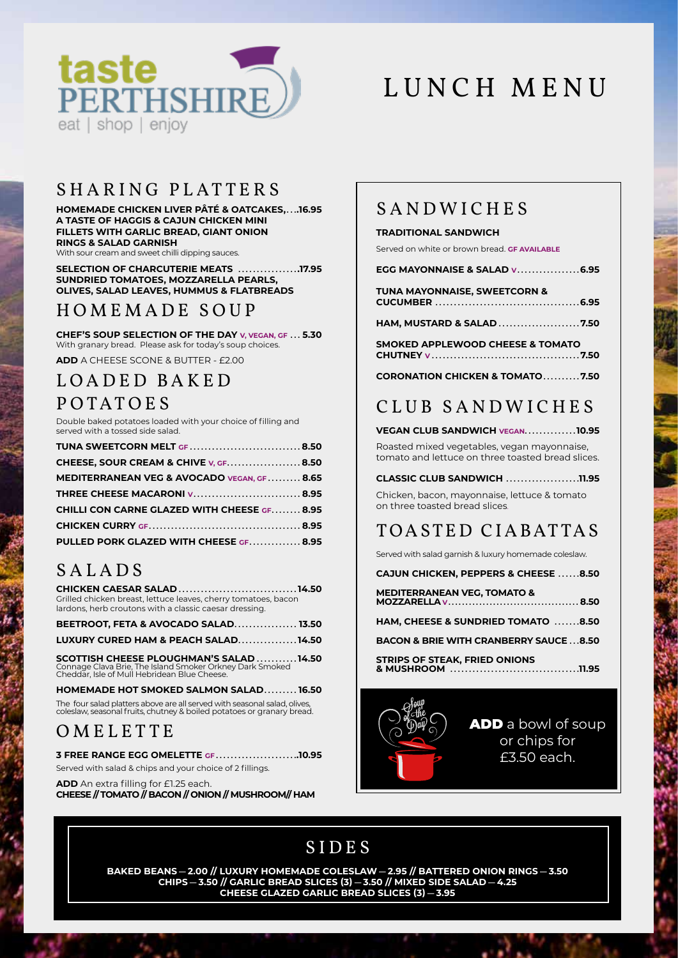

# LUNCH MENU

### SHARING PLATTERS

HOMEMADE CHICKEN LIVER PÂTÉ & OATCAKES.....16.95 A TASTE OF HAGGIS & CAJUN CHICKEN MINI FILLETS WITH GARLIC BREAD, GIANT ONION **RINGS & SALAD GARNISH** 

With sour cream and sweet chilli dipping sauces.

SELECTION OF CHARCUTERIE MEATS .................17.95 SUNDRIED TOMATOES, MOZZARELLA PEARLS, OLIVES, SALAD LEAVES, HUMMUS & FLATBREADS

### HOMEMADE SOUP

CHEF'S SOUP SELECTION OF THE DAY V, VEGAN, GF ... 5.30 With granary bread. Please ask for today's soup choices.

**ADD** A CHEESE SCONE & BUTTER - £2.00

### LOADED BAKED POTATOES

Double baked potatoes loaded with your choice of filling and served with a tossed side salad.

| TUNA SWEETCORN MELT GF8.50                              |  |
|---------------------------------------------------------|--|
| <b>CHEESE, SOUR CREAM &amp; CHIVE V, GF.       8.50</b> |  |
| MEDITERRANEAN VEG & AVOCADO VEGAN, GF.  8.65            |  |
| THREE CHEESE MACARONI v 8.95                            |  |
| <b>CHILLI CON CARNE GLAZED WITH CHEESE GF 8.95</b>      |  |
|                                                         |  |
| PULLED PORK GLAZED WITH CHEESE GF 8.95                  |  |

### SALADS

| <b>CHICKEN CAESAR SALAD14.50</b>                               |  |
|----------------------------------------------------------------|--|
| Grilled chicken breast, lettuce leaves, cherry tomatoes, bacon |  |
| lardons, herb croutons with a classic caesar dressing.         |  |
| <b>BEETROOT, FETA &amp; AVOCADO SALAD 13.50</b>                |  |
| LUXURY CURED HAM & PEACH SALAD14.50                            |  |

SCOTTISH CHEESE PLOUGHMAN'S SALAD ...........14.50<br>Connage Clava Brie, The Island Smoker Orkney Dark Smoked<br>Cheddar, Isle of Mull Hebridean Blue Cheese.

HOMEMADE HOT SMOKED SALMON SALAD........16.50 The four salad platters above are all served with seasonal salad, olives.

coleslaw, seasonal fruits, chutney & boiled potatoes or granary bread.

### OMELETTE

3 FREE RANGE EGG OMELETTE GF.........................10.95

Served with salad & chips and your choice of 2 fillings.

ADD An extra filling for £1.25 each. CHEESE // TOMATO // BACON // ONION // MUSHROOM// HAM

### SANDWICHES

### **TRADITIONAL SANDWICH**

Served on white or brown bread. GF AVAILABLE

| <b>TUNA MAYONNAISE, SWEETCORN &amp;</b> |
|-----------------------------------------|
|                                         |

**SMOKED APPLEWOOD CHEESE & TOMATO** 

**CORONATION CHICKEN & TOMATO.........7.50** 

# CLUB SANDWICHES

VEGAN CLUB SANDWICH VEGAN.............10.95

Roasted mixed vegetables, vegan mayonnaise, tomato and lettuce on three toasted bread slices.

CLASSIC CLUB SANDWICH .....................11.95 Chicken, bacon, mayonnaise, lettuce & tomato

on three toasted bread slices.

# TOASTED CIABATTAS

Served with salad garnish & luxury homemade coleslaw.

**CAJUN CHICKEN, PEPPERS & CHEESE ......8.50** 

| <b>MEDITERRANEAN VEG. TOMATO &amp;</b>           |  |
|--------------------------------------------------|--|
| <b>HAM. CHEESE &amp; SUNDRIED TOMATO 8.50</b>    |  |
| <b>BACON &amp; BRIE WITH CRANBERRY SAUCE8.50</b> |  |

STRIPS OF STEAK, FRIED ONIONS<br>& MUSHROOM ...................... . . . . . . . . . . . . . . . . 11.95



**ADD** a bowl of soup or chips for £3.50 each

# **SIDES**

BAKED BEANS - 2.00 // LUXURY HOMEMADE COLESLAW - 2.95 // BATTERED ONION RINGS - 3.50<br>CHIPS - 3.50 // GARLIC BREAD SLICES (3) - 3.50 // MIXED SIDE SALAD - 4.25<br>CHEESE GLAZED GARLIC BREAD SLICES (3) - 3.95